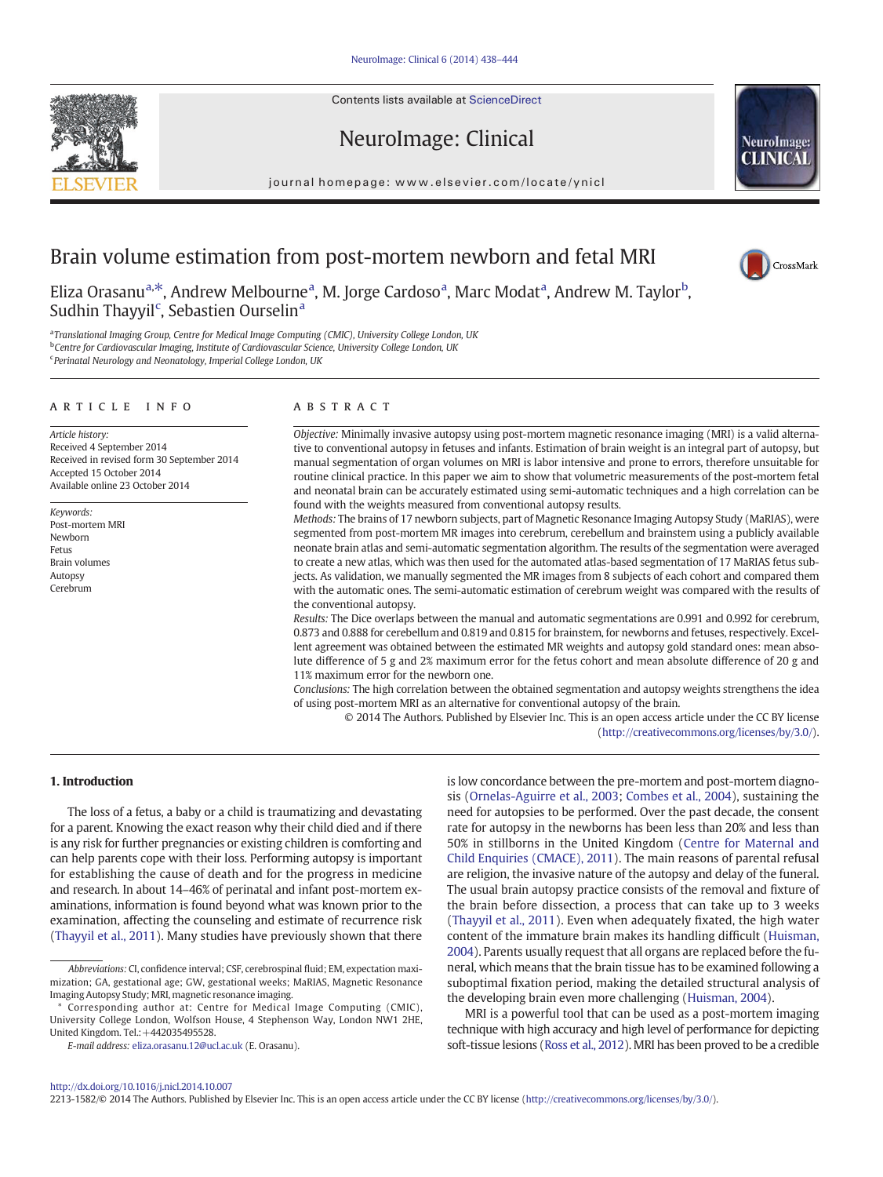Contents lists available at ScienceDirect

# NeuroImage: Clinical

journal homepage:<www.elsevier.com/locate/ynicl>

# Brain volume estimation from post-mortem newborn and fetal MRI

Eliza Orasanu<sup>a,\*</sup>, Andrew Melbourne<sup>a</sup>, M. Jorge Cardoso<sup>a</sup>, Marc Modat<sup>a</sup>, Andrew M. Taylor<sup>b</sup>, Sudhin Thayyil<sup>c</sup>, Sebastien Ourselin<sup>a</sup>

aTranslational Imaging Group, Centre for Medical Image Computing (CMIC), University College London, UK <sup>b</sup>Centre for Cardiovascular Imaging, Institute of Cardiovascular Science, University College London, UK <sup>c</sup> Perinatal Neurology and Neonatology, Imperial College London, UK

#### article info abstract

Article history: Received 4 September 2014 Received in revised form 30 September 2014 Accepted 15 October 2014 Available online 23 October 2014

Keywords: Post-mortem MRI Newborn Fetus Brain volumes Autopsy Cerebrum

Objective: Minimally invasive autopsy using post-mortem magnetic resonance imaging (MRI) is a valid alternative to conventional autopsy in fetuses and infants. Estimation of brain weight is an integral part of autopsy, but manual segmentation of organ volumes on MRI is labor intensive and prone to errors, therefore unsuitable for routine clinical practice. In this paper we aim to show that volumetric measurements of the post-mortem fetal and neonatal brain can be accurately estimated using semi-automatic techniques and a high correlation can be found with the weights measured from conventional autopsy results.

Methods: The brains of 17 newborn subjects, part of Magnetic Resonance Imaging Autopsy Study (MaRIAS), were segmented from post-mortem MR images into cerebrum, cerebellum and brainstem using a publicly available neonate brain atlas and semi-automatic segmentation algorithm. The results of the segmentation were averaged to create a new atlas, which was then used for the automated atlas-based segmentation of 17 MaRIAS fetus subjects. As validation, we manually segmented the MR images from 8 subjects of each cohort and compared them with the automatic ones. The semi-automatic estimation of cerebrum weight was compared with the results of the conventional autopsy.

Results: The Dice overlaps between the manual and automatic segmentations are 0.991 and 0.992 for cerebrum, 0.873 and 0.888 for cerebellum and 0.819 and 0.815 for brainstem, for newborns and fetuses, respectively. Excellent agreement was obtained between the estimated MR weights and autopsy gold standard ones: mean absolute difference of 5 g and 2% maximum error for the fetus cohort and mean absolute difference of 20 g and 11% maximum error for the newborn one.

Conclusions: The high correlation between the obtained segmentation and autopsy weights strengthens the idea of using post-mortem MRI as an alternative for conventional autopsy of the brain.

© 2014 The Authors. Published by Elsevier Inc. This is an open access article under the CC BY license [\(http://creativecommons.org/licenses/by/3.0/\)](http://creativecommons.org/licenses/by/3.0/).

### 1. Introduction

The loss of a fetus, a baby or a child is traumatizing and devastating for a parent. Knowing the exact reason why their child died and if there is any risk for further pregnancies or existing children is comforting and can help parents cope with their loss. Performing autopsy is important for establishing the cause of death and for the progress in medicine and research. In about 14–46% of perinatal and infant post-mortem examinations, information is found beyond what was known prior to the examination, affecting the counseling and estimate of recurrence risk [\(Thayyil et al., 2011](#page-6-0)). Many studies have previously shown that there

\* Corresponding author at: Centre for Medical Image Computing (CMIC), University College London, Wolfson House, 4 Stephenson Way, London NW1 2HE, United Kingdom. Tel.:+442035495528.

E-mail address: <eliza.orasanu.12@ucl.ac.uk> (E. Orasanu).

is low concordance between the pre-mortem and post-mortem diagnosis ([Ornelas-Aguirre et al., 2003;](#page-6-0) [Combes et al., 2004\)](#page-5-0), sustaining the need for autopsies to be performed. Over the past decade, the consent rate for autopsy in the newborns has been less than 20% and less than 50% in stillborns in the United Kingdom [\(Centre for Maternal and](#page-5-0) [Child Enquiries \(CMACE\), 2011](#page-5-0)). The main reasons of parental refusal are religion, the invasive nature of the autopsy and delay of the funeral. The usual brain autopsy practice consists of the removal and fixture of the brain before dissection, a process that can take up to 3 weeks [\(Thayyil et al., 2011\)](#page-6-0). Even when adequately fixated, the high water content of the immature brain makes its handling difficult ([Huisman,](#page-6-0) [2004\)](#page-6-0). Parents usually request that all organs are replaced before the funeral, which means that the brain tissue has to be examined following a suboptimal fixation period, making the detailed structural analysis of the developing brain even more challenging ([Huisman, 2004](#page-6-0)).

MRI is a powerful tool that can be used as a post-mortem imaging technique with high accuracy and high level of performance for depicting soft-tissue lesions [\(Ross et al., 2012](#page-6-0)). MRI has been proved to be a credible

2213-1582/© 2014 The Authors. Published by Elsevier Inc. This is an open access article under the CC BY license (<http://creativecommons.org/licenses/by/3.0/>).





CrossMark

Abbreviations: CI, confidence interval; CSF, cerebrospinal fluid; EM, expectation maximization; GA, gestational age; GW, gestational weeks; MaRIAS, Magnetic Resonance Imaging Autopsy Study; MRI, magnetic resonance imaging.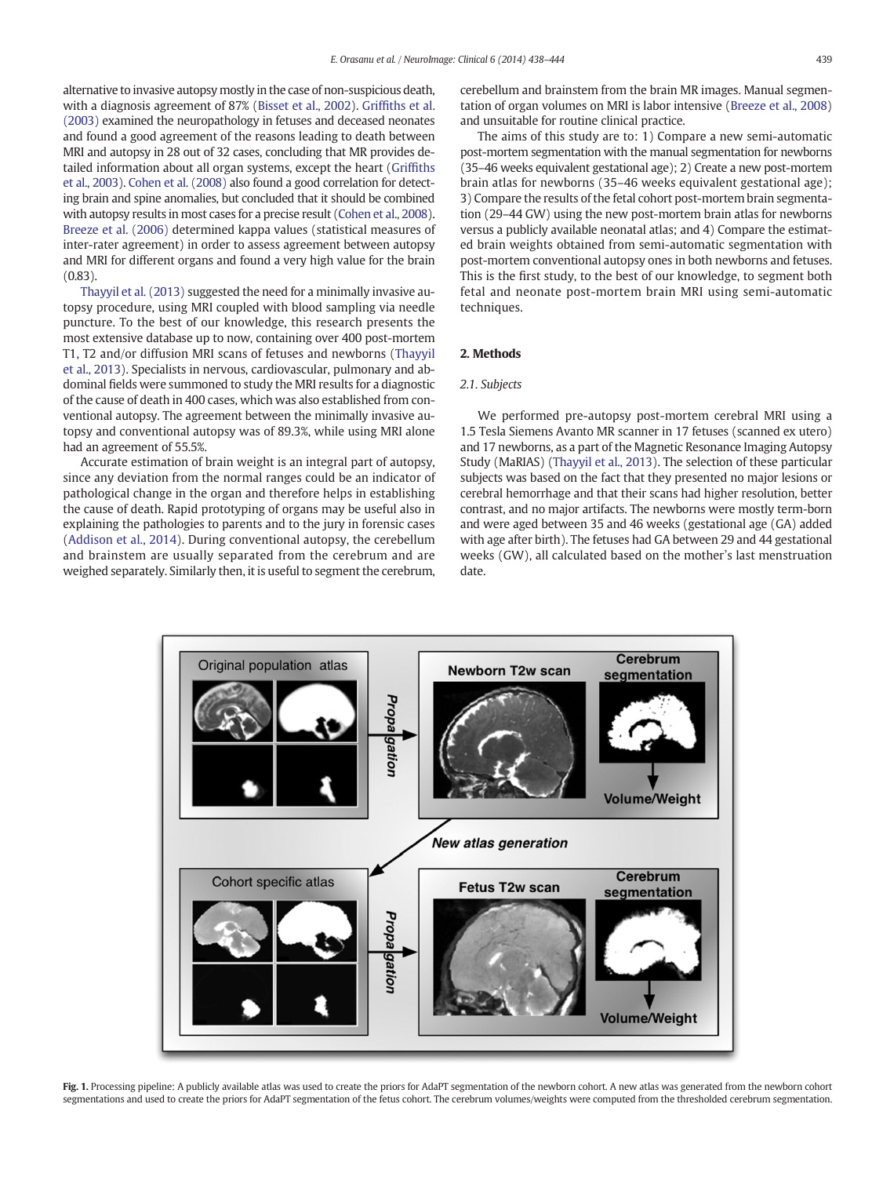<span id="page-1-0"></span>alternative to invasive autopsy mostly in the case of non-suspicious death, with a diagnosis agreement of 87% [\(Bisset et al., 2002\)](#page-5-0). Griffi[ths et al.](#page-6-0) [\(2003\)](#page-6-0) examined the neuropathology in fetuses and deceased neonates and found a good agreement of the reasons leading to death between MRI and autopsy in 28 out of 32 cases, concluding that MR provides detailed information about all organ systems, except the heart [\(Grif](#page-6-0)fiths [et al., 2003\)](#page-6-0). [Cohen et al. \(2008\)](#page-5-0) also found a good correlation for detecting brain and spine anomalies, but concluded that it should be combined with autopsy results in most cases for a precise result [\(Cohen et al., 2008](#page-5-0)). [Breeze et al. \(2006\)](#page-5-0) determined kappa values (statistical measures of inter-rater agreement) in order to assess agreement between autopsy and MRI for different organs and found a very high value for the brain (0.83).

[Thayyil et al. \(2013\)](#page-6-0) suggested the need for a minimally invasive autopsy procedure, using MRI coupled with blood sampling via needle puncture. To the best of our knowledge, this research presents the most extensive database up to now, containing over 400 post-mortem T1, T2 and/or diffusion MRI scans of fetuses and newborns ([Thayyil](#page-6-0) [et al., 2013](#page-6-0)). Specialists in nervous, cardiovascular, pulmonary and abdominal fields were summoned to study the MRI results for a diagnostic of the cause of death in 400 cases, which was also established from conventional autopsy. The agreement between the minimally invasive autopsy and conventional autopsy was of 89.3%, while using MRI alone had an agreement of 55.5%.

Accurate estimation of brain weight is an integral part of autopsy, since any deviation from the normal ranges could be an indicator of pathological change in the organ and therefore helps in establishing the cause of death. Rapid prototyping of organs may be useful also in explaining the pathologies to parents and to the jury in forensic cases [\(Addison et al., 2014](#page-5-0)). During conventional autopsy, the cerebellum and brainstem are usually separated from the cerebrum and are weighed separately. Similarly then, it is useful to segment the cerebrum, cerebellum and brainstem from the brain MR images. Manual segmentation of organ volumes on MRI is labor intensive ([Breeze et al., 2008](#page-5-0)) and unsuitable for routine clinical practice.

The aims of this study are to: 1) Compare a new semi-automatic post-mortem segmentation with the manual segmentation for newborns (35–46 weeks equivalent gestational age); 2) Create a new post-mortem brain atlas for newborns (35–46 weeks equivalent gestational age); 3) Compare the results of the fetal cohort post-mortem brain segmentation (29–44 GW) using the new post-mortem brain atlas for newborns versus a publicly available neonatal atlas; and 4) Compare the estimated brain weights obtained from semi-automatic segmentation with post-mortem conventional autopsy ones in both newborns and fetuses. This is the first study, to the best of our knowledge, to segment both fetal and neonate post-mortem brain MRI using semi-automatic techniques.

# 2. Methods

# 2.1. Subjects

We performed pre-autopsy post-mortem cerebral MRI using a 1.5 Tesla Siemens Avanto MR scanner in 17 fetuses (scanned ex utero) and 17 newborns, as a part of the Magnetic Resonance Imaging Autopsy Study (MaRIAS) [\(Thayyil et al., 2013](#page-6-0)). The selection of these particular subjects was based on the fact that they presented no major lesions or cerebral hemorrhage and that their scans had higher resolution, better contrast, and no major artifacts. The newborns were mostly term-born and were aged between 35 and 46 weeks (gestational age (GA) added with age after birth). The fetuses had GA between 29 and 44 gestational weeks (GW), all calculated based on the mother's last menstruation date.



Fig. 1. Processing pipeline: A publicly available atlas was used to create the priors for AdaPT segmentation of the newborn cohort. A new atlas was generated from the newborn cohort segmentations and used to create the priors for AdaPT segmentation of the fetus cohort. The cerebrum volumes/weights were computed from the thresholded cerebrum segmentation.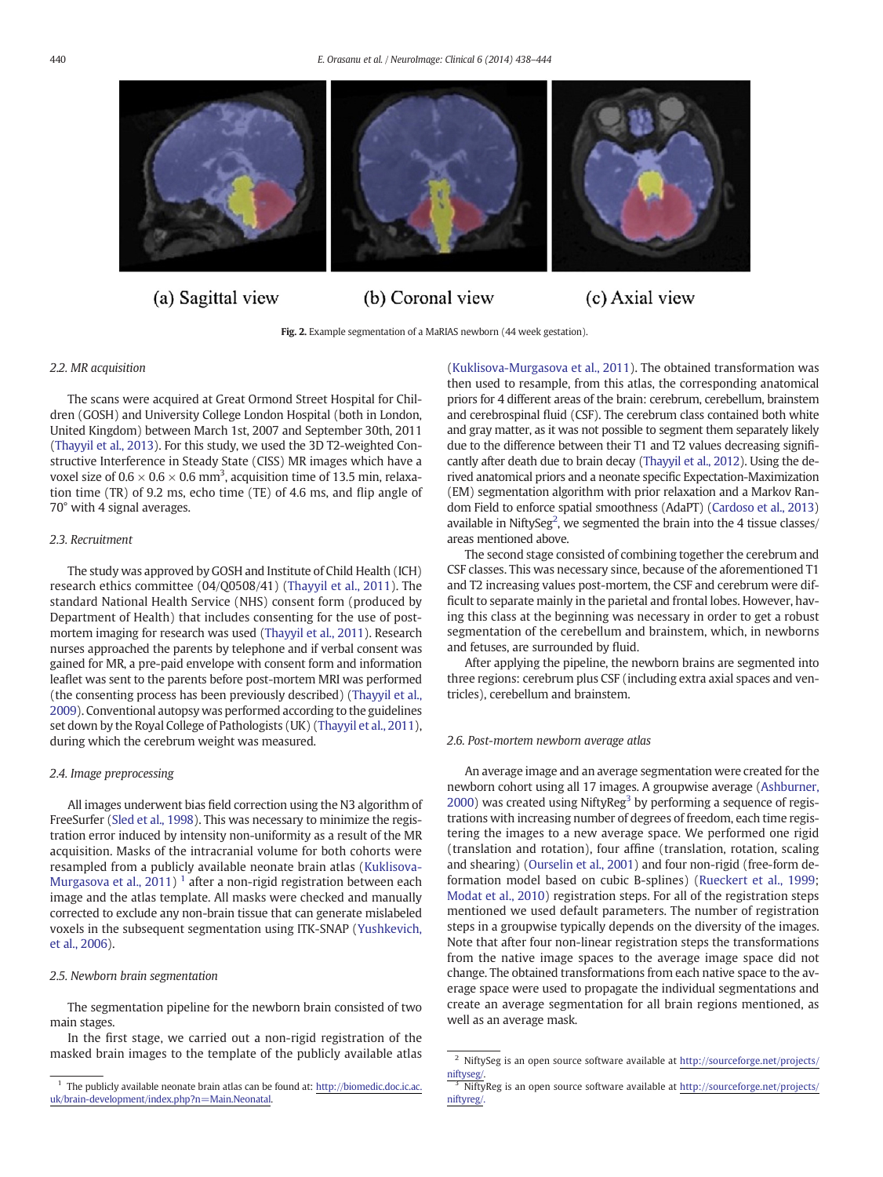<span id="page-2-0"></span>

(a) Sagittal view

(b) Coronal view

(c) Axial view

Fig. 2. Example segmentation of a MaRIAS newborn (44 week gestation).

### 2.2. MR acquisition

The scans were acquired at Great Ormond Street Hospital for Children (GOSH) and University College London Hospital (both in London, United Kingdom) between March 1st, 2007 and September 30th, 2011 [\(Thayyil et al., 2013\)](#page-6-0). For this study, we used the 3D T2-weighted Constructive Interference in Steady State (CISS) MR images which have a voxel size of  $0.6 \times 0.6 \times 0.6$  mm<sup>3</sup>, acquisition time of 13.5 min, relaxation time (TR) of 9.2 ms, echo time (TE) of 4.6 ms, and flip angle of 70° with 4 signal averages.

#### 2.3. Recruitment

The study was approved by GOSH and Institute of Child Health (ICH) research ethics committee (04/Q0508/41) [\(Thayyil et al., 2011\)](#page-6-0). The standard National Health Service (NHS) consent form (produced by Department of Health) that includes consenting for the use of postmortem imaging for research was used ([Thayyil et al., 2011\)](#page-6-0). Research nurses approached the parents by telephone and if verbal consent was gained for MR, a pre-paid envelope with consent form and information leaflet was sent to the parents before post-mortem MRI was performed (the consenting process has been previously described) ([Thayyil et al.,](#page-6-0) [2009\)](#page-6-0). Conventional autopsy was performed according to the guidelines set down by the Royal College of Pathologists (UK) ([Thayyil et al., 2011\)](#page-6-0), during which the cerebrum weight was measured.

# 2.4. Image preprocessing

All images underwent bias field correction using the N3 algorithm of FreeSurfer ([Sled et al., 1998\)](#page-6-0). This was necessary to minimize the registration error induced by intensity non-uniformity as a result of the MR acquisition. Masks of the intracranial volume for both cohorts were resampled from a publicly available neonate brain atlas ([Kuklisova-](#page-6-0)[Murgasova et al., 2011](#page-6-0))<sup>1</sup> after a non-rigid registration between each image and the atlas template. All masks were checked and manually corrected to exclude any non-brain tissue that can generate mislabeled voxels in the subsequent segmentation using ITK-SNAP [\(Yushkevich,](#page-6-0) [et al., 2006](#page-6-0)).

## 2.5. Newborn brain segmentation

The segmentation pipeline for the newborn brain consisted of two main stages.

In the first stage, we carried out a non-rigid registration of the masked brain images to the template of the publicly available atlas [\(Kuklisova-Murgasova et al., 2011\)](#page-6-0). The obtained transformation was then used to resample, from this atlas, the corresponding anatomical priors for 4 different areas of the brain: cerebrum, cerebellum, brainstem and cerebrospinal fluid (CSF). The cerebrum class contained both white and gray matter, as it was not possible to segment them separately likely due to the difference between their T1 and T2 values decreasing significantly after death due to brain decay [\(Thayyil et al., 2012](#page-6-0)). Using the derived anatomical priors and a neonate specific Expectation-Maximization (EM) segmentation algorithm with prior relaxation and a Markov Random Field to enforce spatial smoothness (AdaPT) ([Cardoso et al., 2013](#page-5-0)) available in NiftySeg<sup>2</sup>, we segmented the brain into the 4 tissue classes/ areas mentioned above.

The second stage consisted of combining together the cerebrum and CSF classes. This was necessary since, because of the aforementioned T1 and T2 increasing values post-mortem, the CSF and cerebrum were difficult to separate mainly in the parietal and frontal lobes. However, having this class at the beginning was necessary in order to get a robust segmentation of the cerebellum and brainstem, which, in newborns and fetuses, are surrounded by fluid.

After applying the pipeline, the newborn brains are segmented into three regions: cerebrum plus CSF (including extra axial spaces and ventricles), cerebellum and brainstem.

# 2.6. Post-mortem newborn average atlas

An average image and an average segmentation were created for the newborn cohort using all 17 images. A groupwise average ([Ashburner,](#page-5-0) [2000\)](#page-5-0) was created using NiftyReg<sup>3</sup> by performing a sequence of registrations with increasing number of degrees of freedom, each time registering the images to a new average space. We performed one rigid (translation and rotation), four affine (translation, rotation, scaling and shearing) ([Ourselin et al., 2001\)](#page-6-0) and four non-rigid (free-form deformation model based on cubic B-splines) ([Rueckert et al., 1999;](#page-6-0) [Modat et al., 2010\)](#page-6-0) registration steps. For all of the registration steps mentioned we used default parameters. The number of registration steps in a groupwise typically depends on the diversity of the images. Note that after four non-linear registration steps the transformations from the native image spaces to the average image space did not change. The obtained transformations from each native space to the average space were used to propagate the individual segmentations and create an average segmentation for all brain regions mentioned, as well as an average mask.

 $1$  The publicly available neonate brain atlas can be found at: [http://biomedic.doc.ic.ac.](http://dx.doi.org/10.1259/bjr.20130621) [uk/brain-development/index.php?n=Main.Neonatal.](http://dx.doi.org/10.1259/bjr.20130621)

<sup>&</sup>lt;sup>2</sup> NiftySeg is an open source software available at  $\frac{http://sourceforget/projects/}{http://sourceforget/projects/}$ [niftyseg/](http://sourceforge.net/projects/niftyseg/).

<sup>&</sup>lt;sup>3</sup> NiftyReg is an open source software available at [http://sourceforge.net/projects/](http://sourceforge.net/projects/niftyreg/) [niftyreg/.](http://sourceforge.net/projects/niftyreg/)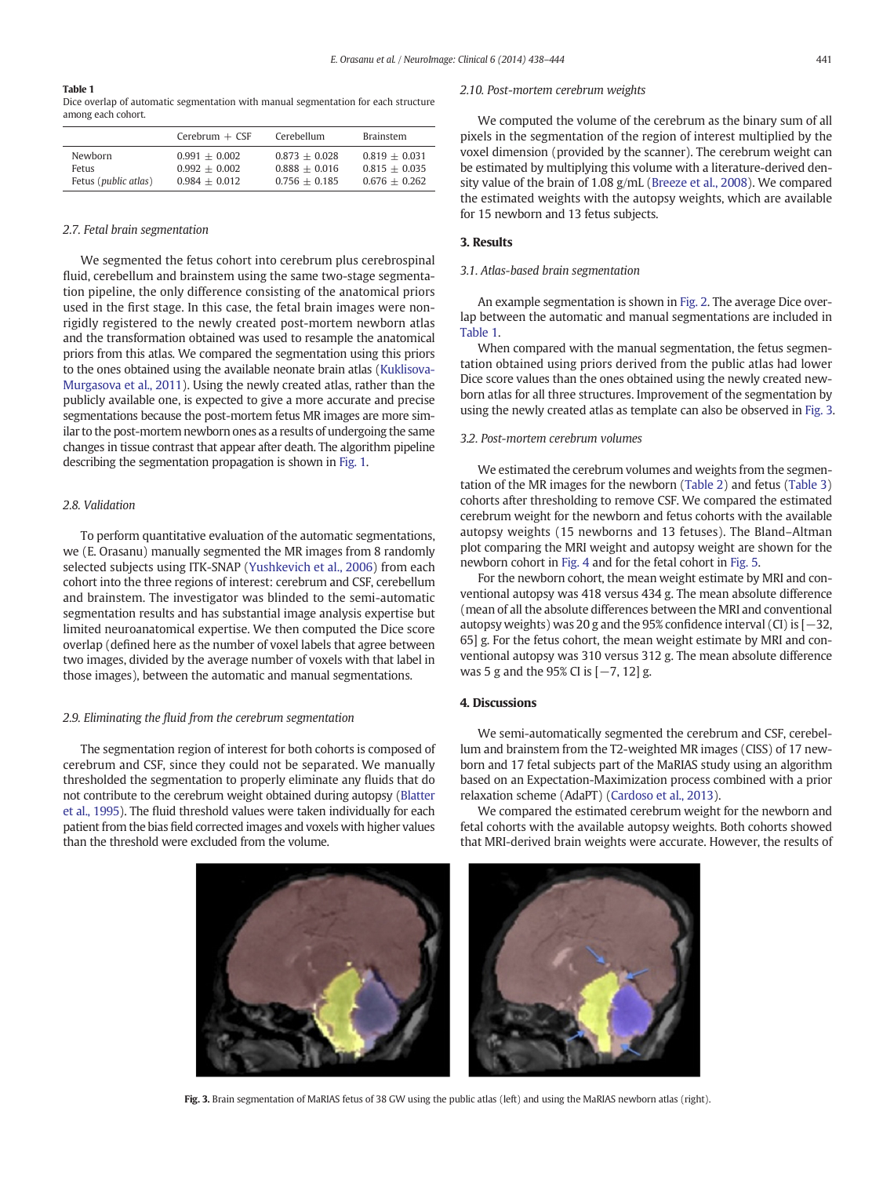#### <span id="page-3-0"></span>Table 1

Dice overlap of automatic segmentation with manual segmentation for each structure among each cohort.

|                               | $Cerebrum + CSF$ | Cerebellum      | <b>Brainstem</b> |
|-------------------------------|------------------|-----------------|------------------|
| Newborn                       | $0.991 + 0.002$  | $0.873 + 0.028$ | $0.819 + 0.031$  |
| Fetus                         | $0.992 + 0.002$  | $0.888 + 0.016$ | $0.815 + 0.035$  |
| Fetus ( <i>public atlas</i> ) | $0.984 + 0.012$  | $0.756 + 0.185$ | $0.676 + 0.262$  |

#### 2.7. Fetal brain segmentation

We segmented the fetus cohort into cerebrum plus cerebrospinal fluid, cerebellum and brainstem using the same two-stage segmentation pipeline, the only difference consisting of the anatomical priors used in the first stage. In this case, the fetal brain images were nonrigidly registered to the newly created post-mortem newborn atlas and the transformation obtained was used to resample the anatomical priors from this atlas. We compared the segmentation using this priors to the ones obtained using the available neonate brain atlas ([Kuklisova-](#page-6-0)[Murgasova et al., 2011\)](#page-6-0). Using the newly created atlas, rather than the publicly available one, is expected to give a more accurate and precise segmentations because the post-mortem fetus MR images are more similar to the post-mortem newborn ones as a results of undergoing the same changes in tissue contrast that appear after death. The algorithm pipeline describing the segmentation propagation is shown in [Fig. 1](#page-1-0).

#### 2.8. Validation

To perform quantitative evaluation of the automatic segmentations, we (E. Orasanu) manually segmented the MR images from 8 randomly selected subjects using ITK-SNAP [\(Yushkevich et al., 2006](#page-6-0)) from each cohort into the three regions of interest: cerebrum and CSF, cerebellum and brainstem. The investigator was blinded to the semi-automatic segmentation results and has substantial image analysis expertise but limited neuroanatomical expertise. We then computed the Dice score overlap (defined here as the number of voxel labels that agree between two images, divided by the average number of voxels with that label in those images), between the automatic and manual segmentations.

# 2.9. Eliminating the fluid from the cerebrum segmentation

The segmentation region of interest for both cohorts is composed of cerebrum and CSF, since they could not be separated. We manually thresholded the segmentation to properly eliminate any fluids that do not contribute to the cerebrum weight obtained during autopsy [\(Blatter](#page-5-0) [et al., 1995\)](#page-5-0). The fluid threshold values were taken individually for each patient from the bias field corrected images and voxels with higher values than the threshold were excluded from the volume.

### 2.10. Post-mortem cerebrum weights

We computed the volume of the cerebrum as the binary sum of all pixels in the segmentation of the region of interest multiplied by the voxel dimension (provided by the scanner). The cerebrum weight can be estimated by multiplying this volume with a literature-derived density value of the brain of 1.08 g/mL ([Breeze et al., 2008](#page-5-0)). We compared the estimated weights with the autopsy weights, which are available for 15 newborn and 13 fetus subjects.

# 3. Results

### 3.1. Atlas-based brain segmentation

An example segmentation is shown in [Fig. 2](#page-2-0). The average Dice overlap between the automatic and manual segmentations are included in Table 1.

When compared with the manual segmentation, the fetus segmentation obtained using priors derived from the public atlas had lower Dice score values than the ones obtained using the newly created newborn atlas for all three structures. Improvement of the segmentation by using the newly created atlas as template can also be observed in Fig. 3.

# 3.2. Post-mortem cerebrum volumes

We estimated the cerebrum volumes and weights from the segmentation of the MR images for the newborn [\(Table 2](#page-4-0)) and fetus [\(Table 3](#page-4-0)) cohorts after thresholding to remove CSF. We compared the estimated cerebrum weight for the newborn and fetus cohorts with the available autopsy weights (15 newborns and 13 fetuses). The Bland–Altman plot comparing the MRI weight and autopsy weight are shown for the newborn cohort in [Fig. 4](#page-5-0) and for the fetal cohort in [Fig. 5](#page-5-0).

For the newborn cohort, the mean weight estimate by MRI and conventional autopsy was 418 versus 434 g. The mean absolute difference (mean of all the absolute differences between the MRI and conventional autopsy weights) was 20 g and the 95% confidence interval (CI) is [−32, 65] g. For the fetus cohort, the mean weight estimate by MRI and conventional autopsy was 310 versus 312 g. The mean absolute difference was 5 g and the 95% CI is [−7, 12] g.

# 4. Discussions

We semi-automatically segmented the cerebrum and CSF, cerebellum and brainstem from the T2-weighted MR images (CISS) of 17 newborn and 17 fetal subjects part of the MaRIAS study using an algorithm based on an Expectation-Maximization process combined with a prior relaxation scheme (AdaPT) [\(Cardoso et al., 2013](#page-5-0)).

We compared the estimated cerebrum weight for the newborn and fetal cohorts with the available autopsy weights. Both cohorts showed that MRI-derived brain weights were accurate. However, the results of

Fig. 3. Brain segmentation of MaRIAS fetus of 38 GW using the public atlas (left) and using the MaRIAS newborn atlas (right).

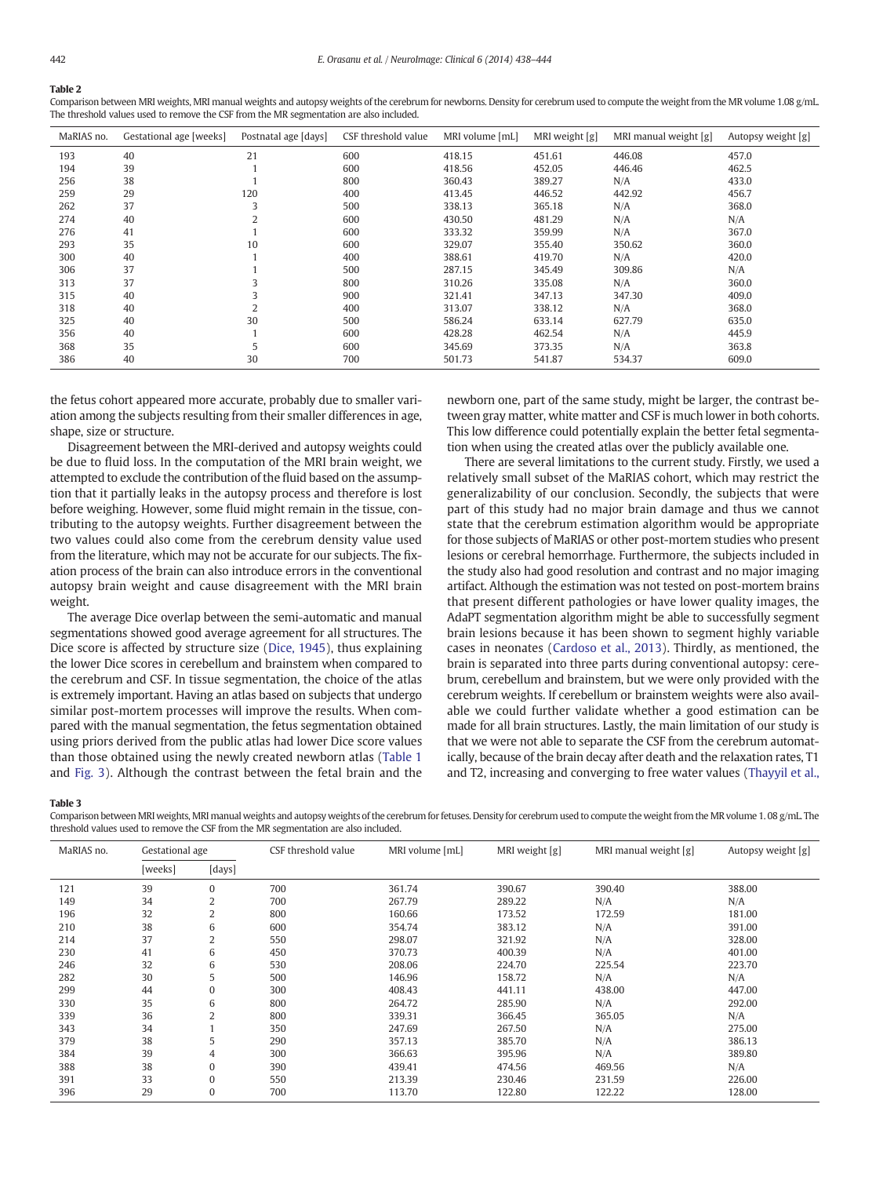# <span id="page-4-0"></span>Table 2

Comparison between MRI weights, MRI manual weights and autopsy weights of the cerebrum for newborns. Density for cerebrum used to compute the weight from the MR volume 1.08 g/mL. The threshold values used to remove the CSF from the MR segmentation are also included.

| MaRIAS no. | Gestational age [weeks] | Postnatal age [days] | CSF threshold value | MRI volume [mL] | MRI weight [g] | MRI manual weight [g] | Autopsy weight [g] |
|------------|-------------------------|----------------------|---------------------|-----------------|----------------|-----------------------|--------------------|
| 193        | 40                      | 21                   | 600                 | 418.15          | 451.61         | 446.08                | 457.0              |
| 194        | 39                      |                      | 600                 | 418.56          | 452.05         | 446.46                | 462.5              |
| 256        | 38                      |                      | 800                 | 360.43          | 389.27         | N/A                   | 433.0              |
| 259        | 29                      | 120                  | 400                 | 413.45          | 446.52         | 442.92                | 456.7              |
| 262        | 37                      | 3                    | 500                 | 338.13          | 365.18         | N/A                   | 368.0              |
| 274        | 40                      |                      | 600                 | 430.50          | 481.29         | N/A                   | N/A                |
| 276        | 41                      |                      | 600                 | 333.32          | 359.99         | N/A                   | 367.0              |
| 293        | 35                      | 10                   | 600                 | 329.07          | 355.40         | 350.62                | 360.0              |
| 300        | 40                      |                      | 400                 | 388.61          | 419.70         | N/A                   | 420.0              |
| 306        | 37                      |                      | 500                 | 287.15          | 345.49         | 309.86                | N/A                |
| 313        | 37                      |                      | 800                 | 310.26          | 335.08         | N/A                   | 360.0              |
| 315        | 40                      |                      | 900                 | 321.41          | 347.13         | 347.30                | 409.0              |
| 318        | 40                      |                      | 400                 | 313.07          | 338.12         | N/A                   | 368.0              |
| 325        | 40                      | 30                   | 500                 | 586.24          | 633.14         | 627.79                | 635.0              |
| 356        | 40                      |                      | 600                 | 428.28          | 462.54         | N/A                   | 445.9              |
| 368        | 35                      |                      | 600                 | 345.69          | 373.35         | N/A                   | 363.8              |
| 386        | 40                      | 30                   | 700                 | 501.73          | 541.87         | 534.37                | 609.0              |

the fetus cohort appeared more accurate, probably due to smaller variation among the subjects resulting from their smaller differences in age, shape, size or structure.

Disagreement between the MRI-derived and autopsy weights could be due to fluid loss. In the computation of the MRI brain weight, we attempted to exclude the contribution of the fluid based on the assumption that it partially leaks in the autopsy process and therefore is lost before weighing. However, some fluid might remain in the tissue, contributing to the autopsy weights. Further disagreement between the two values could also come from the cerebrum density value used from the literature, which may not be accurate for our subjects. The fixation process of the brain can also introduce errors in the conventional autopsy brain weight and cause disagreement with the MRI brain weight.

The average Dice overlap between the semi-automatic and manual segmentations showed good average agreement for all structures. The Dice score is affected by structure size [\(Dice, 1945\)](#page-5-0), thus explaining the lower Dice scores in cerebellum and brainstem when compared to the cerebrum and CSF. In tissue segmentation, the choice of the atlas is extremely important. Having an atlas based on subjects that undergo similar post-mortem processes will improve the results. When compared with the manual segmentation, the fetus segmentation obtained using priors derived from the public atlas had lower Dice score values than those obtained using the newly created newborn atlas [\(Table 1](#page-3-0) and [Fig. 3\)](#page-3-0). Although the contrast between the fetal brain and the newborn one, part of the same study, might be larger, the contrast between gray matter, white matter and CSF is much lower in both cohorts. This low difference could potentially explain the better fetal segmentation when using the created atlas over the publicly available one.

There are several limitations to the current study. Firstly, we used a relatively small subset of the MaRIAS cohort, which may restrict the generalizability of our conclusion. Secondly, the subjects that were part of this study had no major brain damage and thus we cannot state that the cerebrum estimation algorithm would be appropriate for those subjects of MaRIAS or other post-mortem studies who present lesions or cerebral hemorrhage. Furthermore, the subjects included in the study also had good resolution and contrast and no major imaging artifact. Although the estimation was not tested on post-mortem brains that present different pathologies or have lower quality images, the AdaPT segmentation algorithm might be able to successfully segment brain lesions because it has been shown to segment highly variable cases in neonates [\(Cardoso et al., 2013\)](#page-5-0). Thirdly, as mentioned, the brain is separated into three parts during conventional autopsy: cerebrum, cerebellum and brainstem, but we were only provided with the cerebrum weights. If cerebellum or brainstem weights were also available we could further validate whether a good estimation can be made for all brain structures. Lastly, the main limitation of our study is that we were not able to separate the CSF from the cerebrum automatically, because of the brain decay after death and the relaxation rates, T1 and T2, increasing and converging to free water values [\(Thayyil et al.,](#page-6-0)

#### Table 3

Comparison between MRI weights, MRI manual weights and autopsy weights of the cerebrum for fetuses. Density for cerebrum used to compute the weight from the MR volume 1.08 g/mL. The threshold values used to remove the CSF from the MR segmentation are also included.

| MaRIAS no. | Gestational age |                | CSF threshold value | MRI volume [mL] | MRI weight [g] | MRI manual weight [g] | Autopsy weight [g] |
|------------|-----------------|----------------|---------------------|-----------------|----------------|-----------------------|--------------------|
|            | [weeks]         | [days]         |                     |                 |                |                       |                    |
| 121        | 39              | $\mathbf{0}$   | 700                 | 361.74          | 390.67         | 390.40                | 388.00             |
| 149        | 34              | 2              | 700                 | 267.79          | 289.22         | N/A                   | N/A                |
| 196        | 32              | 2              | 800                 | 160.66          | 173.52         | 172.59                | 181.00             |
| 210        | 38              | 6              | 600                 | 354.74          | 383.12         | N/A                   | 391.00             |
| 214        | 37              | 2              | 550                 | 298.07          | 321.92         | N/A                   | 328.00             |
| 230        | 41              | 6              | 450                 | 370.73          | 400.39         | N/A                   | 401.00             |
| 246        | 32              | 6              | 530                 | 208.06          | 224.70         | 225.54                | 223.70             |
| 282        | 30              | 5              | 500                 | 146.96          | 158.72         | N/A                   | N/A                |
| 299        | 44              | $\mathbf{0}$   | 300                 | 408.43          | 441.11         | 438.00                | 447.00             |
| 330        | 35              | 6              | 800                 | 264.72          | 285.90         | N/A                   | 292.00             |
| 339        | 36              | $\overline{2}$ | 800                 | 339.31          | 366.45         | 365.05                | N/A                |
| 343        | 34              |                | 350                 | 247.69          | 267.50         | N/A                   | 275.00             |
| 379        | 38              | 5              | 290                 | 357.13          | 385.70         | N/A                   | 386.13             |
| 384        | 39              | 4              | 300                 | 366.63          | 395.96         | N/A                   | 389.80             |
| 388        | 38              | $\mathbf{0}$   | 390                 | 439.41          | 474.56         | 469.56                | N/A                |
| 391        | 33              | $\mathbf{0}$   | 550                 | 213.39          | 230.46         | 231.59                | 226.00             |
| 396        | 29              | $\mathbf{0}$   | 700                 | 113.70          | 122.80         | 122.22                | 128.00             |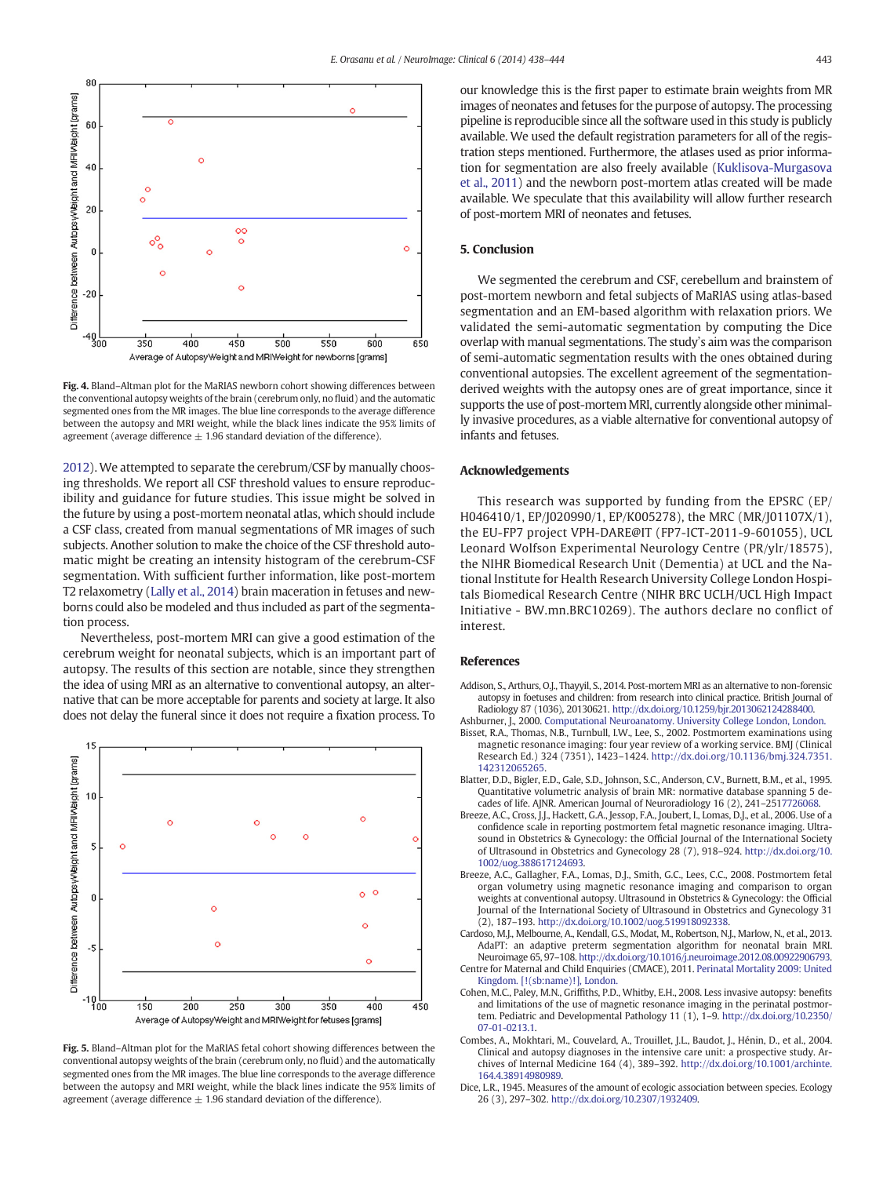<span id="page-5-0"></span>

Fig. 4. Bland–Altman plot for the MaRIAS newborn cohort showing differences between the conventional autopsy weights of the brain (cerebrum only, no fluid) and the automatic segmented ones from the MR images. The blue line corresponds to the average difference between the autopsy and MRI weight, while the black lines indicate the 95% limits of agreement (average difference  $\pm$  1.96 standard deviation of the difference).

[2012](#page-6-0)). We attempted to separate the cerebrum/CSF by manually choosing thresholds. We report all CSF threshold values to ensure reproducibility and guidance for future studies. This issue might be solved in the future by using a post-mortem neonatal atlas, which should include a CSF class, created from manual segmentations of MR images of such subjects. Another solution to make the choice of the CSF threshold automatic might be creating an intensity histogram of the cerebrum-CSF segmentation. With sufficient further information, like post-mortem T2 relaxometry ([Lally et al., 2014\)](#page-6-0) brain maceration in fetuses and newborns could also be modeled and thus included as part of the segmentation process.

Nevertheless, post-mortem MRI can give a good estimation of the cerebrum weight for neonatal subjects, which is an important part of autopsy. The results of this section are notable, since they strengthen the idea of using MRI as an alternative to conventional autopsy, an alternative that can be more acceptable for parents and society at large. It also does not delay the funeral since it does not require a fixation process. To



Fig. 5. Bland–Altman plot for the MaRIAS fetal cohort showing differences between the conventional autopsy weights of the brain (cerebrum only, no fluid) and the automatically segmented ones from the MR images. The blue line corresponds to the average difference between the autopsy and MRI weight, while the black lines indicate the 95% limits of agreement (average difference  $+1.96$  standard deviation of the difference).

our knowledge this is the first paper to estimate brain weights from MR images of neonates and fetuses for the purpose of autopsy. The processing pipeline is reproducible since all the software used in this study is publicly available. We used the default registration parameters for all of the registration steps mentioned. Furthermore, the atlases used as prior information for segmentation are also freely available ([Kuklisova-Murgasova](#page-6-0) [et al., 2011](#page-6-0)) and the newborn post-mortem atlas created will be made available. We speculate that this availability will allow further research of post-mortem MRI of neonates and fetuses.

# 5. Conclusion

We segmented the cerebrum and CSF, cerebellum and brainstem of post-mortem newborn and fetal subjects of MaRIAS using atlas-based segmentation and an EM-based algorithm with relaxation priors. We validated the semi-automatic segmentation by computing the Dice overlap with manual segmentations. The study's aim was the comparison of semi-automatic segmentation results with the ones obtained during conventional autopsies. The excellent agreement of the segmentationderived weights with the autopsy ones are of great importance, since it supports the use of post-mortem MRI, currently alongside other minimally invasive procedures, as a viable alternative for conventional autopsy of infants and fetuses.

# Acknowledgements

This research was supported by funding from the EPSRC (EP/ H046410/1, EP/J020990/1, EP/K005278), the MRC (MR/J01107X/1), the EU-FP7 project VPH-DARE@IT (FP7-ICT-2011-9-601055), UCL Leonard Wolfson Experimental Neurology Centre (PR/ylr/18575), the NIHR Biomedical Research Unit (Dementia) at UCL and the National Institute for Health Research University College London Hospitals Biomedical Research Centre (NIHR BRC UCLH/UCL High Impact Initiative - BW.mn.BRC10269). The authors declare no conflict of interest.

### References

- Addison, S., Arthurs, O.J., Thayyil, S., 2014. Post-mortem MRI as an alternative to non-forensic autopsy in foetuses and children: from research into clinical practice. British Journal of Radiology 87 (1036), 20130621. http://dx.doi.org[/10.1259/bjr.2013062124288400.](http://www.ncbi.nlm.nih.gov/pubmed/24288400) Ashburner, J., 2000. [Computational Neuroanatomy. University College London, London.](http://refhub.elsevier.com/S2213-1582(14)00161-2/bb2)
- Bisset, R.A., Thomas, N.B., Turnbull, I.W., Lee, S., 2002. Postmortem examinations using magnetic resonance imaging: four year review of a working service. BMJ (Clinical Research Ed.) 324 (7351), 1423–1424. http://dx.doi.org[/10.1136/bmj.324.7351.](http://dx.doi.org/10.1136/bmj.324.7351.1423) [142312065265](http://www.ncbi.nlm.nih.gov/pubmed/12065265).
- Blatter, D.D., Bigler, E.D., Gale, S.D., Johnson, S.C., Anderson, C.V., Burnett, B.M., et al., 1995. Quantitative volumetric analysis of brain MR: normative database spanning 5 decades of life. AJNR. American Journal of Neuroradiology 16 (2), 241–251[7726068](http://www.ncbi.nlm.nih.gov/pubmed/7726068).
- Breeze, A.C., Cross, J.J., Hackett, G.A., Jessop, F.A., Joubert, I., Lomas, D.J., et al., 2006. Use of a confidence scale in reporting postmortem fetal magnetic resonance imaging. Ultrasound in Obstetrics & Gynecology: the Official Journal of the International Society of Ultrasound in Obstetrics and Gynecology 28 (7), 918–924. http://dx.doi.org/[10.](http://dx.doi.org/10.1002/uog.3886) [1002/uog.388617124693](http://www.ncbi.nlm.nih.gov/pubmed/17124693).
- Breeze, A.C., Gallagher, F.A., Lomas, D.J., Smith, G.C., Lees, C.C., 2008. Postmortem fetal organ volumetry using magnetic resonance imaging and comparison to organ weights at conventional autopsy. Ultrasound in Obstetrics & Gynecology: the Official Journal of the International Society of Ultrasound in Obstetrics and Gynecology 31 (2), 187–193. http://dx.doi.org/[10.1002/uog.519918092338](http://www.ncbi.nlm.nih.gov/pubmed/18092338).
- Cardoso, M.J., Melbourne, A., Kendall, G.S., Modat, M., Robertson, N.J., Marlow, N., et al., 2013. AdaPT: an adaptive preterm segmentation algorithm for neonatal brain MRI. Neuroimage 65, 97–108. http://dx.doi.org/[10.1016/j.neuroimage.2012.08.00922906793](http://www.ncbi.nlm.nih.gov/pubmed/22906793).
- Centre for Maternal and Child Enquiries (CMACE), 2011. [Perinatal Mortality 2009: United](http://refhub.elsevier.com/S2213-1582(14)00161-2/bb8) [Kingdom. \[!\(sb:name\)!\], London.](http://refhub.elsevier.com/S2213-1582(14)00161-2/bb8)
- Cohen, M.C., Paley, M.N., Griffiths, P.D., Whitby, E.H., 2008. Less invasive autopsy: benefits and limitations of the use of magnetic resonance imaging in the perinatal postmortem. Pediatric and Developmental Pathology 11 (1), 1–9. http://dx.doi.org[/10.2350/](http://dx.doi.org/10.2350/07-01-0213.1) [07-01-0213.1.](http://dx.doi.org/10.2350/07-01-0213.1)
- Combes, A., Mokhtari, M., Couvelard, A., Trouillet, J.L., Baudot, J., Hénin, D., et al., 2004. Clinical and autopsy diagnoses in the intensive care unit: a prospective study. Archives of Internal Medicine 164 (4), 389–392. http://dx.doi.org[/10.1001/archinte.](http://dx.doi.org/10.1001/archinte.164.4.389) [164.4.38914980989.](http://www.ncbi.nlm.nih.gov/pubmed/14980989)
- Dice, L.R., 1945. Measures of the amount of ecologic association between species. Ecology 26 (3), 297–302. http://dx.doi.org/[10.2307/1932409](http://dx.doi.org/10.2307/1932409).